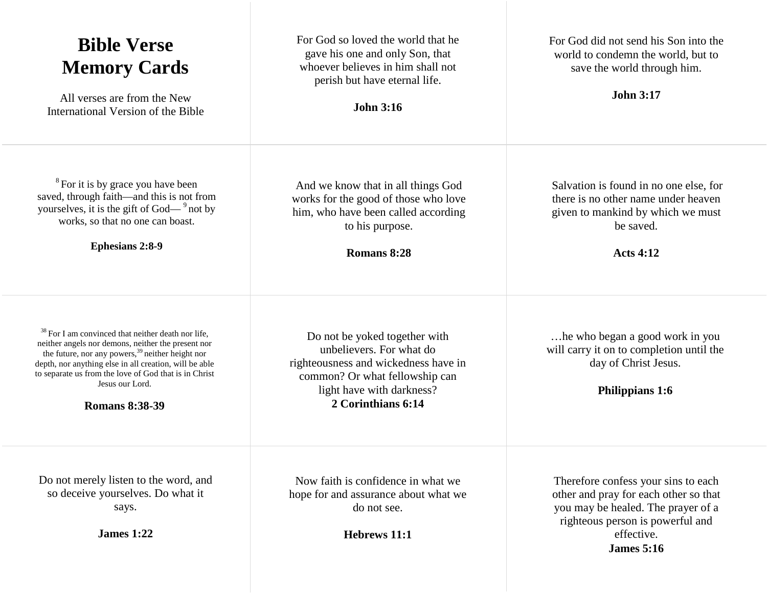| <b>Bible Verse</b><br><b>Memory Cards</b><br>All verses are from the New<br>International Version of the Bible                                                                                                                                                                                                                                     | For God so loved the world that he<br>gave his one and only Son, that<br>whoever believes in him shall not<br>perish but have eternal life.<br><b>John 3:16</b>                        | For God did not send his Son into the<br>world to condemn the world, but to<br>save the world through him.<br><b>John 3:17</b>                                                            |
|----------------------------------------------------------------------------------------------------------------------------------------------------------------------------------------------------------------------------------------------------------------------------------------------------------------------------------------------------|----------------------------------------------------------------------------------------------------------------------------------------------------------------------------------------|-------------------------------------------------------------------------------------------------------------------------------------------------------------------------------------------|
| <sup>8</sup> For it is by grace you have been<br>saved, through faith-and this is not from<br>yourselves, it is the gift of God— $9^9$ not by<br>works, so that no one can boast.<br><b>Ephesians 2:8-9</b>                                                                                                                                        | And we know that in all things God<br>works for the good of those who love<br>him, who have been called according<br>to his purpose.<br>Romans 8:28                                    | Salvation is found in no one else, for<br>there is no other name under heaven<br>given to mankind by which we must<br>be saved.<br><b>Acts 4:12</b>                                       |
| <sup>38</sup> For I am convinced that neither death nor life,<br>neither angels nor demons, neither the present nor<br>the future, nor any powers, <sup>39</sup> neither height nor<br>depth, nor anything else in all creation, will be able<br>to separate us from the love of God that is in Christ<br>Jesus our Lord.<br><b>Romans 8:38-39</b> | Do not be yoked together with<br>unbelievers. For what do<br>righteousness and wickedness have in<br>common? Or what fellowship can<br>light have with darkness?<br>2 Corinthians 6:14 | he who began a good work in you.<br>will carry it on to completion until the<br>day of Christ Jesus.<br><b>Philippians 1:6</b>                                                            |
| Do not merely listen to the word, and<br>so deceive yourselves. Do what it<br>says.<br><b>James 1:22</b>                                                                                                                                                                                                                                           | Now faith is confidence in what we<br>hope for and assurance about what we<br>do not see.<br>Hebrews 11:1                                                                              | Therefore confess your sins to each<br>other and pray for each other so that<br>you may be healed. The prayer of a<br>righteous person is powerful and<br>effective.<br><b>James</b> 5:16 |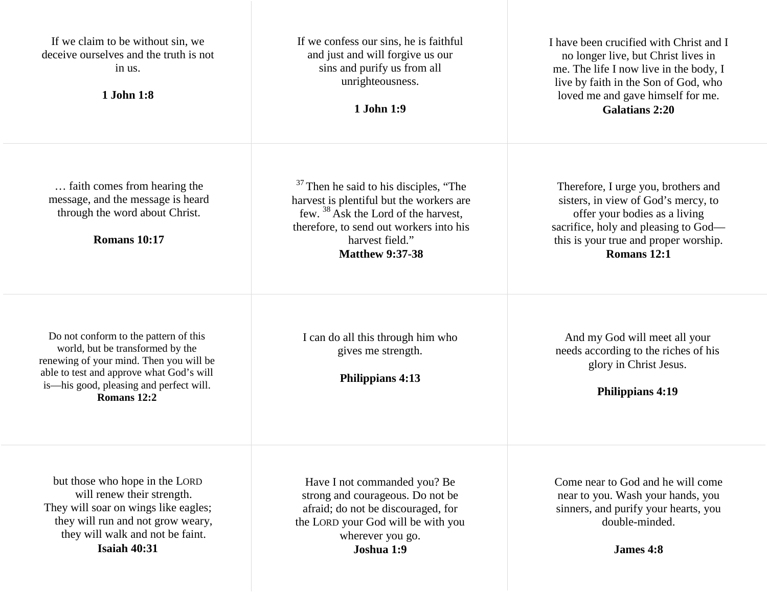| If we claim to be without sin, we<br>deceive ourselves and the truth is not<br>in us.<br>1 John 1:8                                                                                                                        | If we confess our sins, he is faithful<br>and just and will forgive us our<br>sins and purify us from all<br>unrighteousness.<br>1 John 1:9                                                                                              | I have been crucified with Christ and I<br>no longer live, but Christ lives in<br>me. The life I now live in the body, I<br>live by faith in the Son of God, who<br>loved me and gave himself for me.<br><b>Galatians 2:20</b> |
|----------------------------------------------------------------------------------------------------------------------------------------------------------------------------------------------------------------------------|------------------------------------------------------------------------------------------------------------------------------------------------------------------------------------------------------------------------------------------|--------------------------------------------------------------------------------------------------------------------------------------------------------------------------------------------------------------------------------|
| faith comes from hearing the<br>message, and the message is heard<br>through the word about Christ.<br><b>Romans 10:17</b>                                                                                                 | <sup>37</sup> Then he said to his disciples, "The<br>harvest is plentiful but the workers are<br>few. <sup>38</sup> Ask the Lord of the harvest,<br>therefore, to send out workers into his<br>harvest field."<br><b>Matthew 9:37-38</b> | Therefore, I urge you, brothers and<br>sisters, in view of God's mercy, to<br>offer your bodies as a living<br>sacrifice, holy and pleasing to God—<br>this is your true and proper worship.<br>Romans 12:1                    |
| Do not conform to the pattern of this<br>world, but be transformed by the<br>renewing of your mind. Then you will be<br>able to test and approve what God's will<br>is—his good, pleasing and perfect will.<br>Romans 12:2 | I can do all this through him who<br>gives me strength.<br><b>Philippians 4:13</b>                                                                                                                                                       | And my God will meet all your<br>needs according to the riches of his<br>glory in Christ Jesus.<br><b>Philippians 4:19</b>                                                                                                     |
| but those who hope in the LORD<br>will renew their strength.<br>They will soar on wings like eagles;<br>they will run and not grow weary,<br>they will walk and not be faint.<br><b>Isaiah 40:31</b>                       | Have I not commanded you? Be<br>strong and courageous. Do not be<br>afraid; do not be discouraged, for<br>the LORD your God will be with you<br>wherever you go.<br>Joshua 1:9                                                           | Come near to God and he will come<br>near to you. Wash your hands, you<br>sinners, and purify your hearts, you<br>double-minded.<br>James 4:8                                                                                  |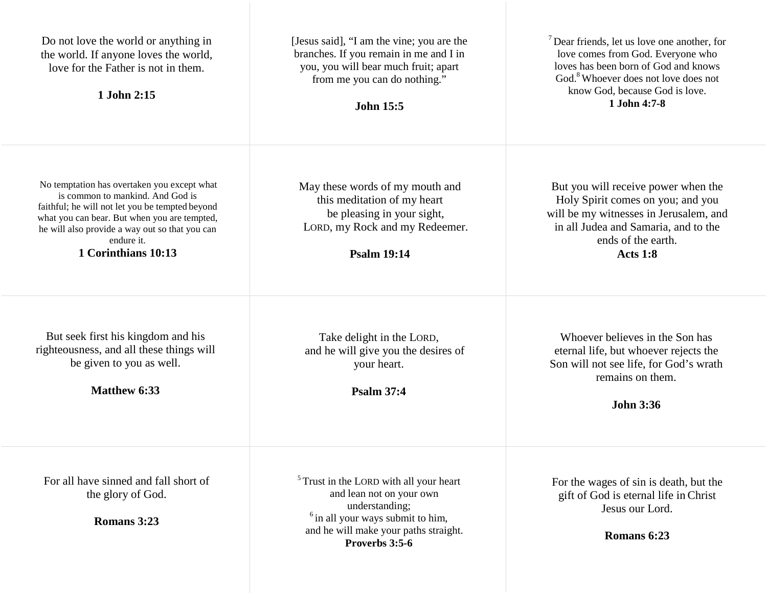| Do not love the world or anything in<br>the world. If anyone loves the world,<br>love for the Father is not in them.<br>1 John 2:15                                                                                                                                       | [Jesus said], "I am the vine; you are the<br>branches. If you remain in me and I in<br>you, you will bear much fruit; apart<br>from me you can do nothing."<br><b>John 15:5</b>                    | $\sqrt{7}$ Dear friends, let us love one another, for<br>love comes from God. Everyone who<br>loves has been born of God and knows<br>God. <sup>8</sup> Whoever does not love does not<br>know God, because God is love.<br>1 John 4:7-8 |
|---------------------------------------------------------------------------------------------------------------------------------------------------------------------------------------------------------------------------------------------------------------------------|----------------------------------------------------------------------------------------------------------------------------------------------------------------------------------------------------|------------------------------------------------------------------------------------------------------------------------------------------------------------------------------------------------------------------------------------------|
| No temptation has overtaken you except what<br>is common to mankind. And God is<br>faithful; he will not let you be tempted beyond<br>what you can bear. But when you are tempted,<br>he will also provide a way out so that you can<br>endure it.<br>1 Corinthians 10:13 | May these words of my mouth and<br>this meditation of my heart<br>be pleasing in your sight,<br>LORD, my Rock and my Redeemer.<br><b>Psalm 19:14</b>                                               | But you will receive power when the<br>Holy Spirit comes on you; and you<br>will be my witnesses in Jerusalem, and<br>in all Judea and Samaria, and to the<br>ends of the earth.<br><b>Acts 1:8</b>                                      |
| But seek first his kingdom and his<br>righteousness, and all these things will<br>be given to you as well.<br><b>Matthew 6:33</b>                                                                                                                                         | Take delight in the LORD,<br>and he will give you the desires of<br>your heart.<br><b>Psalm 37:4</b>                                                                                               | Whoever believes in the Son has<br>eternal life, but whoever rejects the<br>Son will not see life, for God's wrath<br>remains on them.<br><b>John 3:36</b>                                                                               |
| For all have sinned and fall short of<br>the glory of God.<br>Romans 3:23                                                                                                                                                                                                 | <sup>5</sup> Trust in the LORD with all your heart<br>and lean not on your own<br>understanding;<br>$6$ in all your ways submit to him,<br>and he will make your paths straight.<br>Proverbs 3:5-6 | For the wages of sin is death, but the<br>gift of God is eternal life in Christ<br>Jesus our Lord.<br>Romans 6:23                                                                                                                        |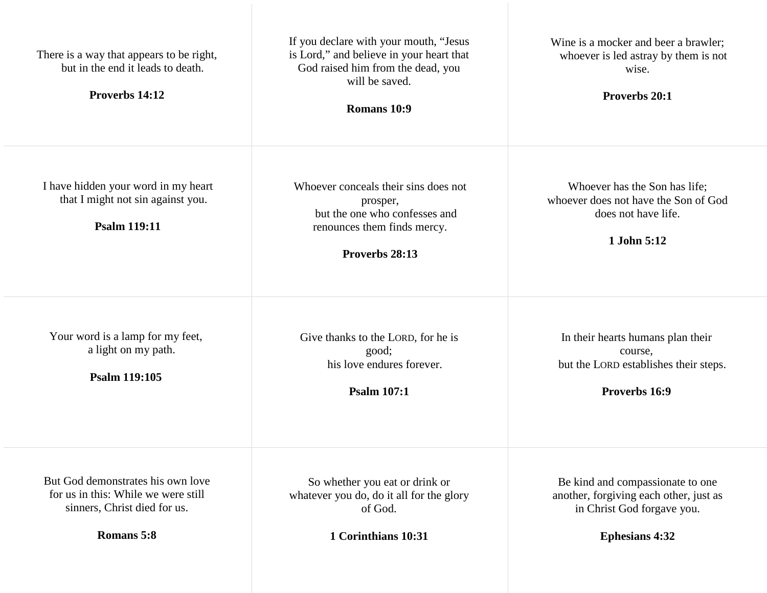| There is a way that appears to be right,<br>but in the end it leads to death.<br>Proverbs 14:12                        | If you declare with your mouth, "Jesus<br>is Lord," and believe in your heart that<br>God raised him from the dead, you<br>will be saved.<br>Romans 10:9 | Wine is a mocker and beer a brawler;<br>whoever is led astray by them is not<br>wise.<br>Proverbs 20:1                            |
|------------------------------------------------------------------------------------------------------------------------|----------------------------------------------------------------------------------------------------------------------------------------------------------|-----------------------------------------------------------------------------------------------------------------------------------|
| I have hidden your word in my heart<br>that I might not sin against you.<br><b>Psalm 119:11</b>                        | Whoever conceals their sins does not<br>prosper,<br>but the one who confesses and<br>renounces them finds mercy.<br>Proverbs 28:13                       | Whoever has the Son has life;<br>whoever does not have the Son of God<br>does not have life.<br>1 John 5:12                       |
| Your word is a lamp for my feet,<br>a light on my path.<br><b>Psalm 119:105</b>                                        | Give thanks to the LORD, for he is<br>good;<br>his love endures forever.<br><b>Psalm 107:1</b>                                                           | In their hearts humans plan their<br>course,<br>but the LORD establishes their steps.<br>Proverbs 16:9                            |
| But God demonstrates his own love<br>for us in this: While we were still<br>sinners, Christ died for us.<br>Romans 5:8 | So whether you eat or drink or<br>whatever you do, do it all for the glory<br>of God.<br>1 Corinthians 10:31                                             | Be kind and compassionate to one<br>another, forgiving each other, just as<br>in Christ God forgave you.<br><b>Ephesians 4:32</b> |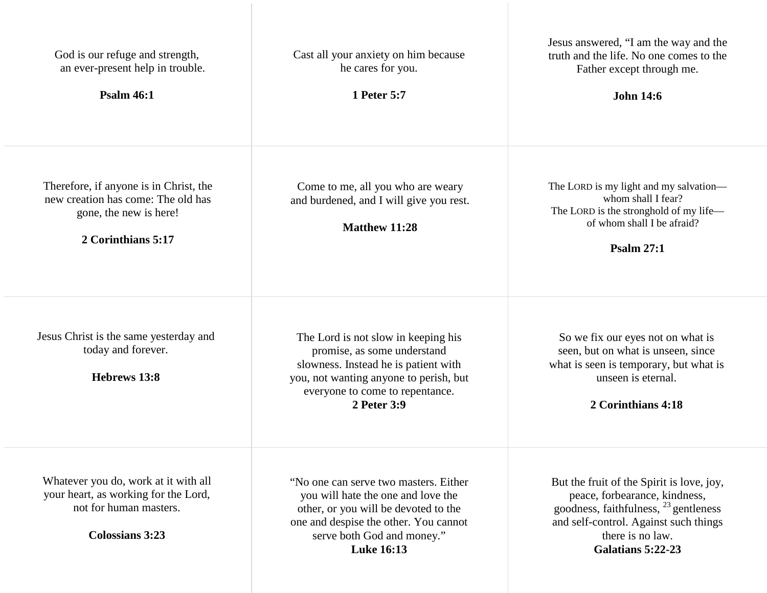| God is our refuge and strength,<br>an ever-present help in trouble.<br><b>Psalm 46:1</b>                                         | Cast all your anxiety on him because<br>he cares for you.<br>1 Peter 5:7                                                                                                                                        | Jesus answered, "I am the way and the<br>truth and the life. No one comes to the<br>Father except through me.<br><b>John 14:6</b>                                                                                |
|----------------------------------------------------------------------------------------------------------------------------------|-----------------------------------------------------------------------------------------------------------------------------------------------------------------------------------------------------------------|------------------------------------------------------------------------------------------------------------------------------------------------------------------------------------------------------------------|
| Therefore, if anyone is in Christ, the<br>new creation has come: The old has<br>gone, the new is here!<br>2 Corinthians 5:17     | Come to me, all you who are weary<br>and burdened, and I will give you rest.<br><b>Matthew 11:28</b>                                                                                                            | The LORD is my light and my salvation-<br>whom shall I fear?<br>The LORD is the stronghold of my life—<br>of whom shall I be afraid?<br><b>Psalm 27:1</b>                                                        |
| Jesus Christ is the same yesterday and<br>today and forever.<br>Hebrews 13:8                                                     | The Lord is not slow in keeping his<br>promise, as some understand<br>slowness. Instead he is patient with<br>you, not wanting anyone to perish, but<br>everyone to come to repentance.<br>2 Peter 3:9          | So we fix our eyes not on what is<br>seen, but on what is unseen, since<br>what is seen is temporary, but what is<br>unseen is eternal.<br>2 Corinthians 4:18                                                    |
| Whatever you do, work at it with all<br>your heart, as working for the Lord,<br>not for human masters.<br><b>Colossians 3:23</b> | "No one can serve two masters. Either<br>you will hate the one and love the<br>other, or you will be devoted to the<br>one and despise the other. You cannot<br>serve both God and money."<br><b>Luke 16:13</b> | But the fruit of the Spirit is love, joy,<br>peace, forbearance, kindness,<br>goodness, faithfulness, <sup>23</sup> gentleness<br>and self-control. Against such things<br>there is no law.<br>Galatians 5:22-23 |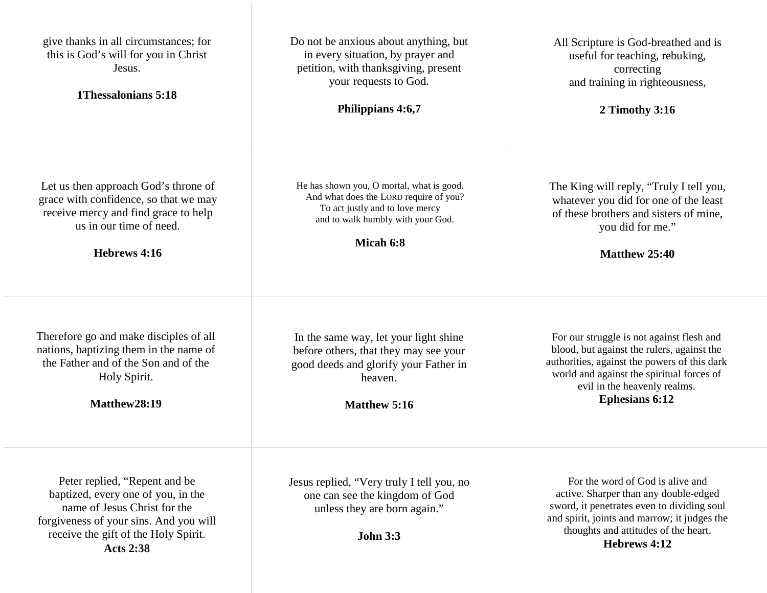| give thanks in all circumstances; for<br>this is God's will for you in Christ<br>Jesus.<br>1 Thessalonians 5:18                                                                                           | Do not be anxious about anything, but<br>in every situation, by prayer and<br>petition, with thanksgiving, present<br>your requests to God.<br>Philippians 4:6,7         | All Scripture is God-breathed and is<br>useful for teaching, rebuking,<br>correcting<br>and training in righteousness,<br>2 Timothy 3:16                                                                                                      |
|-----------------------------------------------------------------------------------------------------------------------------------------------------------------------------------------------------------|--------------------------------------------------------------------------------------------------------------------------------------------------------------------------|-----------------------------------------------------------------------------------------------------------------------------------------------------------------------------------------------------------------------------------------------|
| Let us then approach God's throne of<br>grace with confidence, so that we may<br>receive mercy and find grace to help<br>us in our time of need.<br>Hebrews 4:16                                          | He has shown you, O mortal, what is good.<br>And what does the LORD require of you?<br>To act justly and to love mercy<br>and to walk humbly with your God.<br>Micah 6:8 | The King will reply, "Truly I tell you,<br>whatever you did for one of the least<br>of these brothers and sisters of mine,<br>you did for me."<br>Matthew 25:40                                                                               |
| Therefore go and make disciples of all<br>nations, baptizing them in the name of<br>the Father and of the Son and of the<br>Holy Spirit.<br>Matthew28:19                                                  | In the same way, let your light shine<br>before others, that they may see your<br>good deeds and glorify your Father in<br>heaven.<br><b>Matthew 5:16</b>                | For our struggle is not against flesh and<br>blood, but against the rulers, against the<br>authorities, against the powers of this dark<br>world and against the spiritual forces of<br>evil in the heavenly realms.<br><b>Ephesians 6:12</b> |
| Peter replied, "Repent and be<br>baptized, every one of you, in the<br>name of Jesus Christ for the<br>forgiveness of your sins. And you will<br>receive the gift of the Holy Spirit.<br><b>Acts 2:38</b> | Jesus replied, "Very truly I tell you, no<br>one can see the kingdom of God<br>unless they are born again."<br><b>John 3:3</b>                                           | For the word of God is alive and<br>active. Sharper than any double-edged<br>sword, it penetrates even to dividing soul<br>and spirit, joints and marrow; it judges the<br>thoughts and attitudes of the heart.<br>Hebrews 4:12               |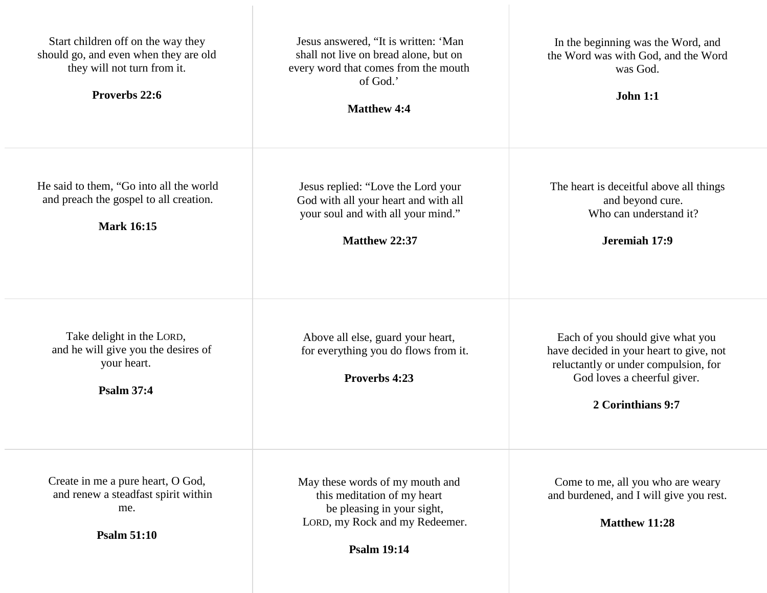| Start children off on the way they<br>should go, and even when they are old<br>they will not turn from it.<br>Proverbs 22:6 | Jesus answered, "It is written: 'Man<br>shall not live on bread alone, but on<br>every word that comes from the mouth<br>of God.'<br><b>Matthew 4:4</b> | In the beginning was the Word, and<br>the Word was with God, and the Word<br>was God.<br><b>John 1:1</b>                                                                |
|-----------------------------------------------------------------------------------------------------------------------------|---------------------------------------------------------------------------------------------------------------------------------------------------------|-------------------------------------------------------------------------------------------------------------------------------------------------------------------------|
| He said to them, "Go into all the world<br>and preach the gospel to all creation.<br><b>Mark 16:15</b>                      | Jesus replied: "Love the Lord your<br>God with all your heart and with all<br>your soul and with all your mind."<br>Matthew 22:37                       | The heart is deceitful above all things<br>and beyond cure.<br>Who can understand it?<br>Jeremiah 17:9                                                                  |
| Take delight in the LORD,<br>and he will give you the desires of<br>your heart.<br><b>Psalm 37:4</b>                        | Above all else, guard your heart,<br>for everything you do flows from it.<br>Proverbs 4:23                                                              | Each of you should give what you<br>have decided in your heart to give, not<br>reluctantly or under compulsion, for<br>God loves a cheerful giver.<br>2 Corinthians 9:7 |
| Create in me a pure heart, O God,<br>and renew a steadfast spirit within<br>me.<br><b>Psalm 51:10</b>                       | May these words of my mouth and<br>this meditation of my heart<br>be pleasing in your sight,<br>LORD, my Rock and my Redeemer.<br><b>Psalm 19:14</b>    | Come to me, all you who are weary<br>and burdened, and I will give you rest.<br>Matthew 11:28                                                                           |